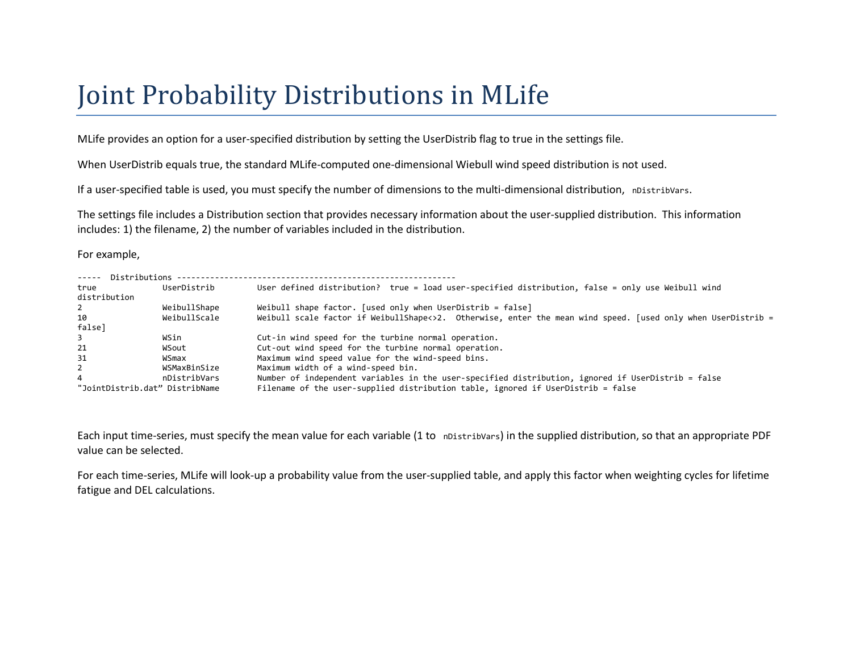## Joint Probability Distributions in MLife

MLife provides an option for a user-specified distribution by setting the UserDistrib flag to true in the settings file.

When UserDistrib equals true, the standard MLife-computed one-dimensional Wiebull wind speed distribution is not used.

If a user-specified table is used, you must specify the number of dimensions to the multi-dimensional distribution, nDistribVars.

The settings file includes a Distribution section that provides necessary information about the user-supplied distribution. This information includes: 1) the filename, 2) the number of variables included in the distribution.

For example,

| ----- Distributions            |              |                                                                                                              |
|--------------------------------|--------------|--------------------------------------------------------------------------------------------------------------|
| true                           | UserDistrib  | User defined distribution? true = load user-specified distribution, false = only use Weibull wind            |
| distribution                   |              |                                                                                                              |
| 2                              | WeibullShape | Weibull shape factor. [used only when UserDistrib = false]                                                   |
| 10                             | WeibullScale | Weibull scale factor if WeibullShape<>2. Otherwise, enter the mean wind speed. [used only when UserDistrib = |
| false]                         |              |                                                                                                              |
| $\overline{3}$                 | WSin         | Cut-in wind speed for the turbine normal operation.                                                          |
| 21                             | WSout        | Cut-out wind speed for the turbine normal operation.                                                         |
| 31                             | WSmax        | Maximum wind speed value for the wind-speed bins.                                                            |
| 2                              | WSMaxBinSize | Maximum width of a wind-speed bin.                                                                           |
| 4                              | nDistribVars | Number of independent variables in the user-specified distribution, ignored if UserDistrib = false           |
| "JointDistrib.dat" DistribName |              | Filename of the user-supplied distribution table, ignored if UserDistrib = false                             |

Each input time-series, must specify the mean value for each variable (1 to nDistribVars) in the supplied distribution, so that an appropriate PDF value can be selected.

For each time-series, MLife will look-up a probability value from the user-supplied table, and apply this factor when weighting cycles for lifetime fatigue and DEL calculations.